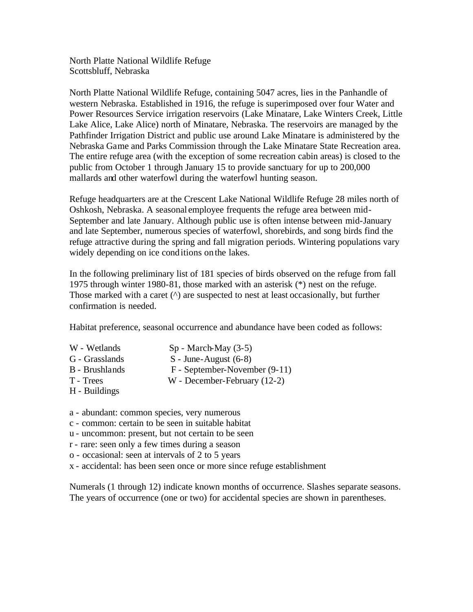North Platte National Wildlife Refuge Scottsbluff, Nebraska

North Platte National Wildlife Refuge, containing 5047 acres, lies in the Panhandle of western Nebraska. Established in 1916, the refuge is superimposed over four Water and Power Resources Service irrigation reservoirs (Lake Minatare, Lake Winters Creek, Little Lake Alice, Lake Alice) north of Minatare, Nebraska. The reservoirs are managed by the Pathfinder Irrigation District and public use around Lake Minatare is administered by the Nebraska Game and Parks Commission through the Lake Minatare State Recreation area. The entire refuge area (with the exception of some recreation cabin areas) is closed to the public from October 1 through January 15 to provide sanctuary for up to 200,000 mallards and other waterfowl during the waterfowl hunting season.

Refuge headquarters are at the Crescent Lake National Wildlife Refuge 28 miles north of Oshkosh, Nebraska. A seasonal employee frequents the refuge area between mid-September and late January. Although public use is often intense between mid-January and late September, numerous species of waterfowl, shorebirds, and song birds find the refuge attractive during the spring and fall migration periods. Wintering populations vary widely depending on ice conditions on the lakes.

In the following preliminary list of 181 species of birds observed on the refuge from fall 1975 through winter 1980-81, those marked with an asterisk (\*) nest on the refuge. Those marked with a caret (^) are suspected to nest at least occasionally, but further confirmation is needed.

Habitat preference, seasonal occurrence and abundance have been coded as follows:

- W Wetlands Sp March-May (3-5)
- G Grasslands S June-August (6-8)
- 
- B Brushlands F September-November (9-11)
- T Trees W December-February (12-2)
- H Buildings
- a abundant: common species, very numerous
- c common: certain to be seen in suitable habitat
- u uncommon: present, but not certain to be seen
- r rare: seen only a few times during a season
- o occasional: seen at intervals of 2 to 5 years
- x accidental: has been seen once or more since refuge establishment

Numerals (1 through 12) indicate known months of occurrence. Slashes separate seasons. The years of occurrence (one or two) for accidental species are shown in parentheses.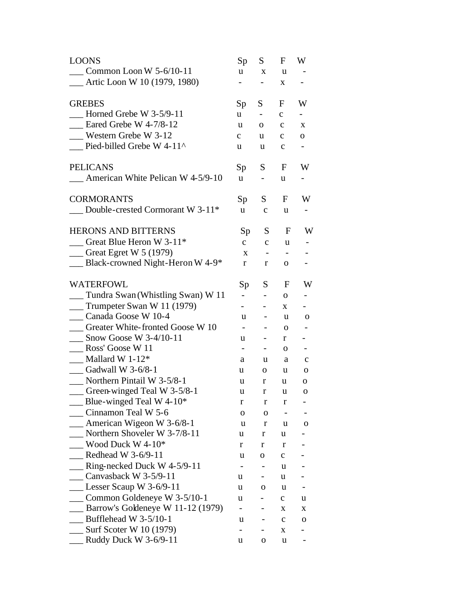| <b>LOONS</b>                                      | Sp                       | S.                           | F                 | W            |
|---------------------------------------------------|--------------------------|------------------------------|-------------------|--------------|
| $\sim$ Common Loon W 5-6/10-11                    | <b>u</b>                 | X                            | u                 |              |
| __ Artic Loon W 10 (1979, 1980)                   | $\overline{\phantom{0}}$ | $\overline{\phantom{0}}$     | X                 | Ξ.           |
| <b>GREBES</b>                                     | Sp                       | S                            | F                 | W            |
| Horned Grebe W $3-5/9-11$                         | u                        | $\blacksquare$               | $\mathbf{C}$      | н.           |
| $\frac{1}{2}$ Eared Grebe W 4-7/8-12              | u                        | 0                            | $\mathbf{C}$      | X            |
| Western Grebe W 3-12                              | $\mathbf{C}$             | u                            | $\mathbf c$       | $\mathbf{O}$ |
| $\Box$ Pied-billed Grebe W 4-11^                  | u                        | u                            | $\mathbf c$       |              |
| <b>PELICANS</b>                                   | Sp                       | S                            | F                 | W            |
| <b>EXECUTE:</b> American White Pelican W 4-5/9-10 | <b>u</b>                 | $\qquad \qquad -$            | u                 | Ξ.           |
| <b>CORMORANTS</b>                                 | Sp                       | S                            | F                 | W            |
| $\quad$ Double-crested Cormorant W 3-11*          | <b>u</b>                 | $\mathbf{C}$                 | u                 |              |
| <b>HERONS AND BITTERNS</b>                        | Sp                       | S                            | $\mathbf F$       | W            |
| Great Blue Heron W 3-11 <sup>*</sup>              | $\mathbf{C}$             | $\mathbf{C}$                 | u                 |              |
| $\equiv$ Great Egret W 5 (1979)                   | X                        |                              | $\qquad \qquad -$ |              |
| $\Box$ Black-crowned Night-Heron W 4-9*           | r                        | r                            | 0                 |              |
| <b>WATERFOWL</b>                                  | Sp                       | S                            | F                 | W            |
| __ Tundra Swan (Whistling Swan) W 11              | $\overline{\phantom{0}}$ | $\overline{\phantom{a}}$     | 0                 |              |
| $\frac{1}{2}$ Trumpeter Swan W 11 (1979)          | $\overline{\phantom{0}}$ |                              | X                 |              |
| Canada Goose W 10-4                               | u                        | $\qquad \qquad \blacksquare$ | u                 | 0            |
| Greater White-fronted Goose W 10                  | $\overline{\phantom{0}}$ | $\overline{\phantom{0}}$     | 0                 |              |
| $\frac{1}{2}$ Snow Goose W 3-4/10-11              | u                        | $\overline{\phantom{a}}$     | r                 |              |
| Ross' Goose W 11                                  | $\overline{\phantom{a}}$ | $\blacksquare$               | 0                 | -            |
| $Mallard W 1-12*$                                 | a                        | u                            | a                 | $\mathbf c$  |
| Gadwall W 3-6/8-1                                 | u                        | 0                            | u                 | 0            |
| $\sim$ Northern Pintail W 3-5/8-1                 | u                        | r                            | u                 | 0            |
| __ Green-winged Teal W 3-5/8-1                    | u                        | r                            | u                 | 0            |
| Blue-winged Teal W 4-10*                          | $\mathbf r$              | $\bf r$                      | $\mathbf r$       |              |
| Cinnamon Teal W 5-6                               | 0                        | o                            |                   |              |
| $\mu$ American Wigeon W 3-6/8-1                   | u                        | $\bf r$                      | u                 | 0            |
| _ Northern Shoveler W 3-7/8-11                    | u                        | r                            | u                 |              |
| Wood Duck W $4-10*$                               | r                        | r                            | r                 |              |
| Redhead W 3-6/9-11                                | u                        | 0                            | $\mathbf c$       |              |
| $\mu$ Ring-necked Duck W 4-5/9-11                 |                          |                              | u                 |              |
| Canvasback W 3-5/9-11                             | u                        | -                            | u                 |              |
| $\_\_\_\$ Lesser Scaup W 3-6/9-11                 | u                        | 0                            | u                 |              |
| $\sim$ Common Goldeneye W 3-5/10-1                | u                        |                              | $\mathbf c$       | u            |
| Barrow's Goldeneye W 11-12 (1979)                 |                          |                              | X                 | X            |
| $\mu$ Bufflehead W 3-5/10-1                       | u                        |                              | c                 | о            |
| $\equiv$ Surf Scoter W 10 (1979)                  | -                        |                              | X                 |              |
| Ruddy Duck W $3-6/9-11$                           | u                        | 0                            | u                 |              |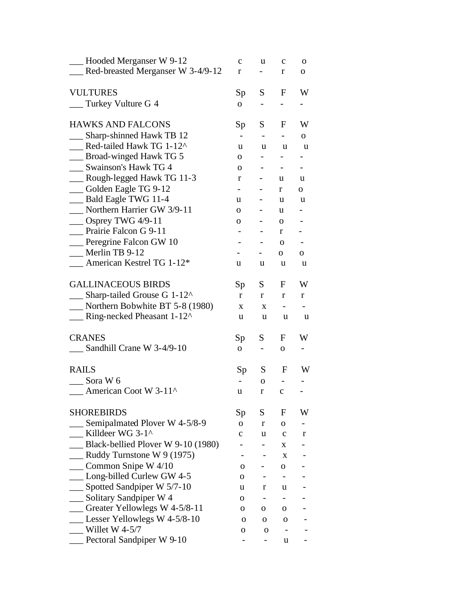| __ Hooded Merganser W 9-12                                            | $\mathbf c$              | u                        | $\mathbf c$                  | 0                            |
|-----------------------------------------------------------------------|--------------------------|--------------------------|------------------------------|------------------------------|
| Red-breasted Merganser W 3-4/9-12                                     | r                        |                          | r                            | 0                            |
| <b>VULTURES</b>                                                       |                          | S                        | F                            | W                            |
| __ Turkey Vulture G 4                                                 | Sp                       |                          |                              |                              |
|                                                                       | $\mathbf{O}$             |                          |                              |                              |
| <b>HAWKS AND FALCONS</b>                                              | Sp                       | S                        | $\mathbf F$                  | W                            |
| Sharp-shinned Hawk TB 12                                              | $\overline{\phantom{0}}$ |                          | $\overline{\phantom{0}}$     | 0                            |
| Red-tailed Hawk TG 1-12^                                              | u                        | u                        | u                            | u                            |
| __ Broad-winged Hawk TG 5                                             | 0                        |                          |                              |                              |
| Swainson's Hawk TG 4                                                  | 0                        |                          | $\overline{\phantom{a}}$     | $\qquad \qquad \blacksquare$ |
| Rough-legged Hawk TG 11-3                                             | r                        |                          | u                            | u                            |
| -Golden Eagle TG 9-12                                                 |                          |                          | r                            | 0                            |
| Bald Eagle TWG 11-4                                                   | u                        | -                        | u                            | u                            |
| Northern Harrier GW 3/9-11                                            | 0                        |                          | u                            |                              |
| $\_\_\_\$ Osprey TWG 4/9-11                                           | 0                        | $\overline{\phantom{0}}$ | $\mathbf{O}$                 |                              |
| Prairie Falcon G 9-11                                                 |                          |                          | r                            |                              |
| Peregrine Falcon GW 10                                                |                          |                          | $\mathbf{O}$                 |                              |
| Merlin TB 9-12                                                        |                          |                          | 0                            | 0                            |
| $\blacksquare$ American Kestrel TG 1-12*                              | u                        | u                        | u                            | u                            |
| <b>GALLINACEOUS BIRDS</b>                                             | Sp                       | S                        | F                            | W                            |
| $\Box$ Sharp-tailed Grouse G 1-12^                                    | r                        | r                        | r                            | r                            |
| __ Northern Bobwhite BT 5-8 (1980)                                    | X                        | X                        | -                            |                              |
| $\frac{1}{2}$ Ring-necked Pheasant 1-12 <sup><math>\land</math></sup> | u                        | u                        | u                            | u                            |
| <b>CRANES</b>                                                         | Sp                       | S                        | F                            | W                            |
| $\_$ Sandhill Crane W 3-4/9-10                                        | $\mathbf{O}$             | $\overline{\phantom{a}}$ | O                            | $\overline{\phantom{0}}$     |
| <b>RAILS</b>                                                          | Sp                       | S                        | F                            | W                            |
| Sora W 6                                                              |                          | $\mathbf{O}$             | $\overline{\phantom{a}}$     |                              |
| American Coot W 3-11 <sup>^</sup>                                     | u                        | r                        | $\mathbf{C}$                 |                              |
| <b>SHOREBIRDS</b>                                                     | Sp                       | S                        | F                            | W                            |
| Semipalmated Plover W 4-5/8-9                                         | $\overline{O}$           | r                        | 0                            |                              |
| Killdeer WG 3-1^                                                      | c                        | u                        | $\mathbf c$                  | r                            |
| Black-bellied Plover W 9-10 (1980)                                    |                          |                          | X                            |                              |
| $\equiv$ Ruddy Turnstone W 9 (1975)                                   |                          |                          | X                            |                              |
| Common Snipe W 4/10                                                   | о                        |                          | 0                            |                              |
| Long-billed Curlew GW 4-5                                             | 0                        |                          | -                            |                              |
| $\_$ Spotted Sandpiper W 5/7-10                                       | u                        | r                        | u                            |                              |
| Solitary Sandpiper W 4                                                | 0                        |                          |                              |                              |
| Greater Yellowlegs W 4-5/8-11                                         | О                        | 0                        | 0                            |                              |
| Lesser Yellowlegs W 4-5/8-10                                          | O                        | 0                        | 0                            |                              |
| Willet W 4-5/7                                                        | о                        | 0                        | $\qquad \qquad \blacksquare$ |                              |
| Pectoral Sandpiper W 9-10                                             |                          |                          | u                            |                              |
|                                                                       |                          |                          |                              |                              |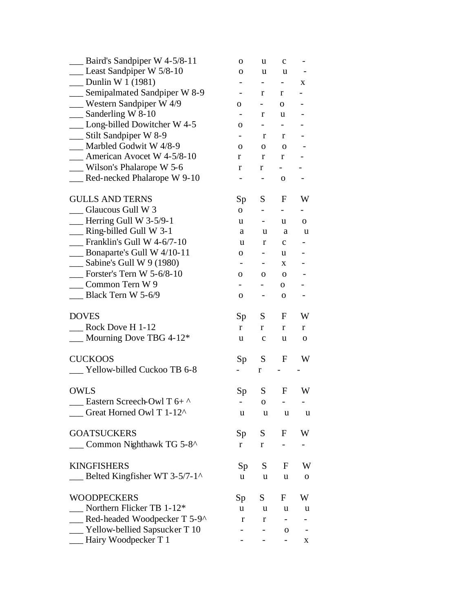| Baird's Sandpiper W 4-5/8-11             | O                        | u                        | $\mathbf c$              |                          |
|------------------------------------------|--------------------------|--------------------------|--------------------------|--------------------------|
| __ Least Sandpiper W 5/8-10              | 0                        | u                        | u                        |                          |
| $\sim$ Dunlin W 1 (1981)                 |                          | $\overline{\phantom{0}}$ |                          | X                        |
| __ Semipalmated Sandpiper W 8-9          |                          | r                        | r                        |                          |
| $\frac{1}{2}$ Western Sandpiper W 4/9    | 0                        | $\overline{\phantom{0}}$ | $\mathbf{O}$             |                          |
| $\equiv$ Sanderling W 8-10               |                          | r                        | u                        |                          |
| __ Long-billed Dowitcher W 4-5           | 0                        | $\overline{\phantom{0}}$ |                          |                          |
| __ Stilt Sandpiper W 8-9                 |                          | r                        | r                        |                          |
| Marbled Godwit W 4/8-9                   | 0                        | 0                        | 0                        |                          |
| __ American Avocet W 4-5/8-10            | r                        | r                        | r                        |                          |
| Wilson's Phalarope W 5-6                 | r                        | r                        | $\overline{\phantom{0}}$ |                          |
| Red-necked Phalarope W 9-10              |                          |                          | $\mathbf 0$              |                          |
| <b>GULLS AND TERNS</b>                   | Sp                       | S                        | $\mathbf F$              | W                        |
| Glaucous Gull W 3                        | $\overline{O}$           | $\overline{\phantom{0}}$ | $\overline{\phantom{0}}$ |                          |
| $\equiv$ Herring Gull W 3-5/9-1          | u                        |                          | u                        | 0                        |
| __ Ring-billed Gull W 3-1                | a                        | u                        | a                        | u                        |
| Franklin's Gull W 4-6/7-10               | u                        | r                        | с                        |                          |
| $\frac{1}{2}$ Bonaparte's Gull W 4/10-11 | 0                        |                          | u                        |                          |
| $\equiv$ Sabine's Gull W 9 (1980)        | $\overline{\phantom{a}}$ |                          | X                        |                          |
| Forster's Tern W $5-6/8-10$              | 0                        | 0                        | 0                        |                          |
| Common Tern W 9                          |                          |                          | 0                        |                          |
| Black Tern W 5-6/9                       | 0                        |                          | $\mathbf 0$              |                          |
| <b>DOVES</b>                             | Sp                       | S                        | F                        | W                        |
| Rock Dove H 1-12                         | r                        | r                        | $\mathbf r$              | r                        |
| Mourning Dove TBG 4-12*                  | u                        | $\mathbf c$              | u                        | 0                        |
| <b>CUCKOOS</b>                           | Sp                       | S                        | $\mathbf F$              | W                        |
| Yellow-billed Cuckoo TB 6-8              |                          | r                        |                          |                          |
| <b>OWLS</b>                              | Sp                       | S                        | F                        | W                        |
| $\equiv$ Eastern Screech-Owl T 6+ ^      |                          | O                        |                          |                          |
| Great Horned Owl T 1-12^                 | u                        | u                        | u                        | u                        |
| <b>GOATSUCKERS</b>                       | Sp                       | $S_{-}$                  | F                        | W                        |
| Common Nighthawk TG 5-8^                 | r                        | r                        |                          |                          |
| <b>KINGFISHERS</b>                       | Sp                       | S                        | F                        | W                        |
| Belted Kingfisher WT 3-5/7-1^            | u                        | u                        | u                        | 0                        |
| <b>WOODPECKERS</b>                       | Sp                       | S                        | F                        | W                        |
| Northern Flicker TB 1-12*                | u                        | u                        | u                        | u                        |
| Red-headed Woodpecker T 5-9^             | r                        | r                        | -                        |                          |
| __ Yellow-bellied Sapsucker T 10         |                          |                          | 0                        | $\overline{\phantom{0}}$ |
| Hairy Woodpecker T 1                     |                          |                          |                          | X.                       |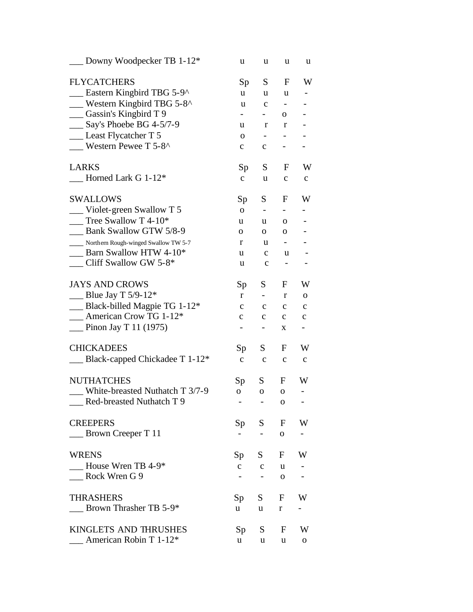| $\Box$ Downy Woodpecker TB 1-12*          | u                        | u                        | u                        | u                            |
|-------------------------------------------|--------------------------|--------------------------|--------------------------|------------------------------|
| <b>FLYCATCHERS</b>                        | Sp                       | S                        | F                        | W                            |
| Eastern Kingbird TBG 5-9^                 | u                        | u                        | u                        |                              |
| <b>Western Kingbird TBG 5-8^</b>          | u                        | $\mathbf c$              | $\overline{\phantom{a}}$ |                              |
| __ Gassin's Kingbird T 9                  |                          | $\overline{\phantom{a}}$ | 0                        |                              |
| Say's Phoebe BG 4-5/7-9                   | u                        | r                        | r                        |                              |
| Least Flycatcher T 5                      | 0                        | -                        |                          |                              |
| <b>Western Pewee T 5-8^</b>               | $\mathbf{C}$             | $\mathbf{C}$             | $\overline{\phantom{0}}$ |                              |
| <b>LARKS</b>                              | Sp                       | S                        | $\mathbf{F}$             | W                            |
| Horned Lark G 1-12*                       | $\mathbf{C}$             | u                        | $\mathbf c$              | $\mathbf c$                  |
| <b>SWALLOWS</b>                           | Sp                       | S                        | F                        | W                            |
| _Violet-green Swallow T 5                 | $\mathbf 0$              | $\overline{\phantom{a}}$ |                          |                              |
| Tree Swallow T 4-10*                      | u                        | u                        | 0                        |                              |
| Bank Swallow GTW 5/8-9                    | $\mathbf 0$              | $\mathbf{O}$             | $\mathbf 0$              |                              |
| ____ Northern Rough-winged Swallow TW 5-7 | r                        | u                        |                          |                              |
| $\frac{1}{2}$ Barn Swallow HTW 4-10*      | u                        | $\mathbf{C}$             | u                        |                              |
| $\Box$ Cliff Swallow GW 5-8*              | u                        | $\mathbf c$              |                          |                              |
| <b>JAYS AND CROWS</b>                     | Sp                       | S                        | F                        | W                            |
| <b>EXECUTE:</b> Blue Jay T 5/9-12*        | $\mathbf{r}$             | $\overline{\phantom{0}}$ | r                        | $\mathbf 0$                  |
| $\_\_\$ Black-billed Magpie TG 1-12*      | $\mathbf c$              | $\mathbf c$              | $\mathbf c$              | $\mathbf c$                  |
| $\_\_\_\$ American Crow TG 1-12*          | $\mathbf c$              | $\mathbf c$              | $\mathbf c$              | $\mathbf c$                  |
| $\frac{1}{2}$ Pinon Jay T 11 (1975)       | $\overline{\phantom{0}}$ | $\overline{\phantom{0}}$ | $\mathbf X$              | $\qquad \qquad \blacksquare$ |
| <b>CHICKADEES</b>                         | Sp                       | S                        | F                        | W                            |
| Black-capped Chickadee T 1-12*            | $\mathbf{C}$             | $\mathbf c$              | $\mathbf c$              | $\mathbf c$                  |
| <b>NUTHATCHES</b>                         | Sp                       | S                        | F                        | W                            |
| White-breasted Nuthatch T 3/7-9           | O                        | $\mathbf{O}$             | $\mathbf{O}$             | -                            |
| Red-breasted Nuthatch T 9                 |                          |                          | 0                        |                              |
| <b>CREEPERS</b>                           | Sp                       | S F                      |                          | <b>W</b>                     |
| $\frac{1}{2}$ Brown Creeper T 11          | $\overline{\phantom{0}}$ | $\sim$                   | $\mathbf{O}$             |                              |
| <b>WRENS</b>                              | Sp                       | S                        | F W                      |                              |
| $\qquad$ House Wren TB 4-9*               | $\mathbf{C}$             | $\mathbf{c}$             | u                        |                              |
| Rock Wren G 9                             |                          | $\qquad \qquad -$        | $\mathbf{O}$             |                              |
| <b>THRASHERS</b>                          | Sp                       | S                        | F W                      |                              |
| $\_\_\_\$ Brown Thrasher TB 5-9*          | u —                      | u                        | $r_{\rm}$                | $\overline{\phantom{a}}$     |
| KINGLETS AND THRUSHES                     | Sp                       | S                        |                          | F W                          |
| American Robin T 1-12*                    | u —                      | u                        | u                        | ${\bf O}$                    |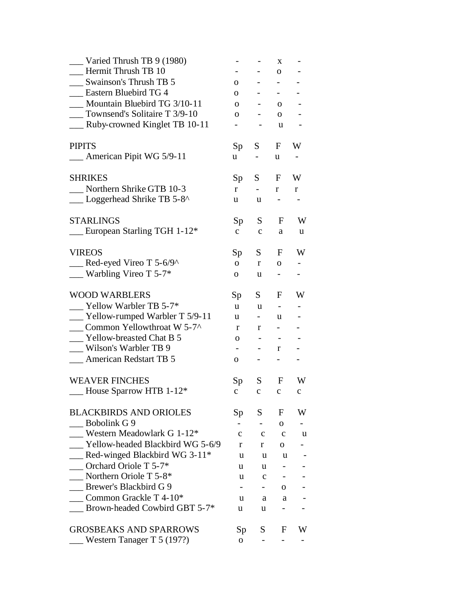| $\equiv$ Varied Thrush TB 9 (1980)           |                          |                                 | X                        |                          |
|----------------------------------------------|--------------------------|---------------------------------|--------------------------|--------------------------|
| Hermit Thrush TB 10                          |                          |                                 | 0                        |                          |
| Swainson's Thrush TB 5                       | 0                        | $\overline{\phantom{0}}$        | $\overline{\phantom{0}}$ |                          |
| Eastern Bluebird TG 4                        | $\mathbf{O}$             | $ -$                            | $\sim$                   |                          |
| Mountain Bluebird TG 3/10-11                 | $\Omega$                 | $\sim$ 100 $\sim$               | $\Omega$                 |                          |
| _ Townsend's Solitaire T 3/9-10              | 0                        |                                 | $\Omega$                 |                          |
| __ Ruby-crowned Kinglet TB 10-11             |                          |                                 | u                        |                          |
| <b>PIPITS</b>                                | Sp                       | S                               | F                        | W                        |
| American Pipit WG 5/9-11                     | u                        | $\overline{\phantom{0}}$        | u                        |                          |
| <b>SHRIKES</b>                               | Sp                       | S.                              | F                        | W                        |
| Northern Shrike GTB 10-3                     | r                        | $\overline{\phantom{0}}$        | r                        | $\mathbf{r}$             |
| Loggerhead Shrike TB 5-8^                    | u                        | u                               | $\overline{\phantom{0}}$ |                          |
| <b>STARLINGS</b>                             | Sp                       | S                               | F                        | W                        |
| European Starling TGH 1-12*                  | $\mathbf{C}$             | $\mathbf{C}$                    | a                        | u                        |
| <b>VIREOS</b>                                | Sp                       | S.                              | $\mathbf{F}$             | W                        |
| $\equiv$ Red-eyed Vireo T 5-6/9^             | 0                        | r                               | $\overline{O}$           |                          |
| $\frac{1}{2}$ Warbling Vireo T 5-7*          | О.                       | u                               | $\overline{\phantom{0}}$ |                          |
| <b>WOOD WARBLERS</b>                         | Sp                       | $S_{-}$                         | F                        | W                        |
| $\blacksquare$ Yellow Warbler TB 5-7*        | u                        | u                               | $\overline{\phantom{a}}$ | $\overline{\phantom{0}}$ |
| $\frac{1}{2}$ Yellow-rumped Warbler T 5/9-11 | u                        | $\sim$                          | u                        |                          |
| Common Yellowthroat W 5-7^                   | r                        | r                               | $\equiv$                 |                          |
| Yellow-breasted Chat B 5                     | 0                        | $\frac{1}{2}$ and $\frac{1}{2}$ | $\overline{\phantom{a}}$ |                          |
| __ Wilson's Warbler TB 9                     | $\overline{\phantom{0}}$ | $\sim 100$                      | r                        |                          |
| <b>Example 2</b> American Redstart TB 5      | 0                        |                                 | $\overline{\phantom{0}}$ |                          |
| <b>WEAVER FINCHES</b>                        | Sp                       | S                               | $\mathbf{F}$             | W                        |
| - House Sparrow HTB 1-12*                    | $\mathbf{C}$             | $\mathbf{C}$                    | $\mathbf{C}$             | $\mathbf{C}$             |
| <b>BLACKBIRDS AND ORIOLES</b>                | Sp                       | S.                              | F                        | W                        |
| Bobolink G 9                                 | $\overline{\phantom{0}}$ |                                 | $\mathbf{O}$             |                          |
| Western Meadowlark G 1-12 <sup>*</sup>       | $\mathbf{C}$             | $\mathbf{C}$                    | $\mathbf{C}$             | u                        |
| Yellow-headed Blackbird WG 5-6/9             | r                        | r                               | 0                        |                          |
| $\blacksquare$ Red-winged Blackbird WG 3-11* | u                        | u                               | u                        |                          |
| Orchard Oriole T 5-7*                        | u                        | u                               |                          |                          |
| $\blacksquare$ Northern Oriole T 5-8*        | u                        | $\mathbf c$                     | $\overline{\phantom{0}}$ |                          |
| Brewer's Blackbird G 9                       |                          | $\overline{\phantom{0}}$        | О.                       |                          |
| Common Grackle T $4-10*$                     | u                        | a                               | a                        |                          |
| Brown-headed Cowbird GBT 5-7*                | u                        | u                               |                          |                          |
| <b>GROSBEAKS AND SPARROWS</b>                | Sp <sub>1</sub>          | S.                              | F                        | W                        |
| Western Tanager T 5 (197?)                   | $\overline{O}$           |                                 |                          |                          |